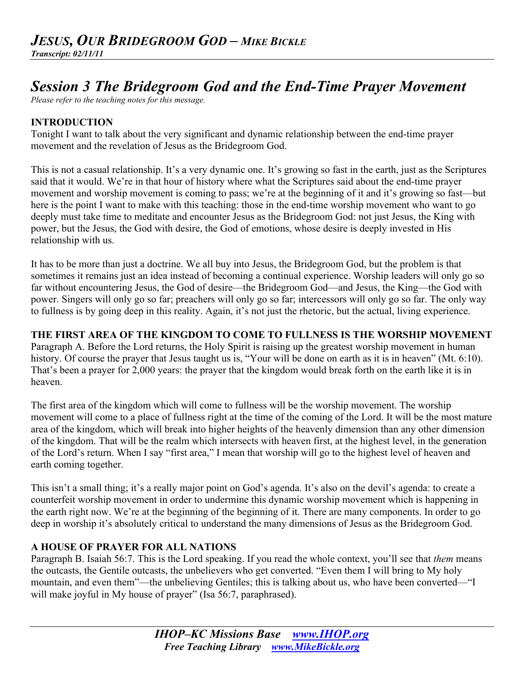# *Session 3 The Bridegroom God and the End-Time Prayer Movement*

*Please refer to the teaching notes for this message.*

### **INTRODUCTION**

Tonight I want to talk about the very significant and dynamic relationship between the end-time prayer movement and the revelation of Jesus as the Bridegroom God.

This is not a casual relationship. It's a very dynamic one. It's growing so fast in the earth, just as the Scriptures said that it would. We're in that hour of history where what the Scriptures said about the end-time prayer movement and worship movement is coming to pass; we're at the beginning of it and it's growing so fast—but here is the point I want to make with this teaching: those in the end-time worship movement who want to go deeply must take time to meditate and encounter Jesus as the Bridegroom God: not just Jesus, the King with power, but the Jesus, the God with desire, the God of emotions, whose desire is deeply invested in His relationship with us.

It has to be more than just a doctrine. We all buy into Jesus, the Bridegroom God, but the problem is that sometimes it remains just an idea instead of becoming a continual experience. Worship leaders will only go so far without encountering Jesus, the God of desire—the Bridegroom God—and Jesus, the King—the God with power. Singers will only go so far; preachers will only go so far; intercessors will only go so far. The only way to fullness is by going deep in this reality. Again, it's not just the rhetoric, but the actual, living experience.

### **THE FIRST AREA OF THE KINGDOM TO COME TO FULLNESS IS THE WORSHIP MOVEMENT**

Paragraph A. Before the Lord returns, the Holy Spirit is raising up the greatest worship movement in human history. Of course the prayer that Jesus taught us is, "Your will be done on earth as it is in heaven" (Mt. 6:10). That's been a prayer for 2,000 years: the prayer that the kingdom would break forth on the earth like it is in heaven.

The first area of the kingdom which will come to fullness will be the worship movement. The worship movement will come to a place of fullness right at the time of the coming of the Lord. It will be the most mature area of the kingdom, which will break into higher heights of the heavenly dimension than any other dimension of the kingdom. That will be the realm which intersects with heaven first, at the highest level, in the generation of the Lord's return. When I say "first area," I mean that worship will go to the highest level of heaven and earth coming together.

This isn't a small thing; it's a really major point on God's agenda. It's also on the devil's agenda: to create a counterfeit worship movement in order to undermine this dynamic worship movement which is happening in the earth right now. We're at the beginning of the beginning of it. There are many components. In order to go deep in worship it's absolutely critical to understand the many dimensions of Jesus as the Bridegroom God.

#### **A HOUSE OF PRAYER FOR ALL NATIONS**

Paragraph B. Isaiah 56:7. This is the Lord speaking. If you read the whole context, you'll see that *them* means the outcasts, the Gentile outcasts, the unbelievers who get converted. "Even them I will bring to My holy mountain, and even them"—the unbelieving Gentiles; this is talking about us, who have been converted—"I will make joyful in My house of prayer" (Isa 56:7, paraphrased).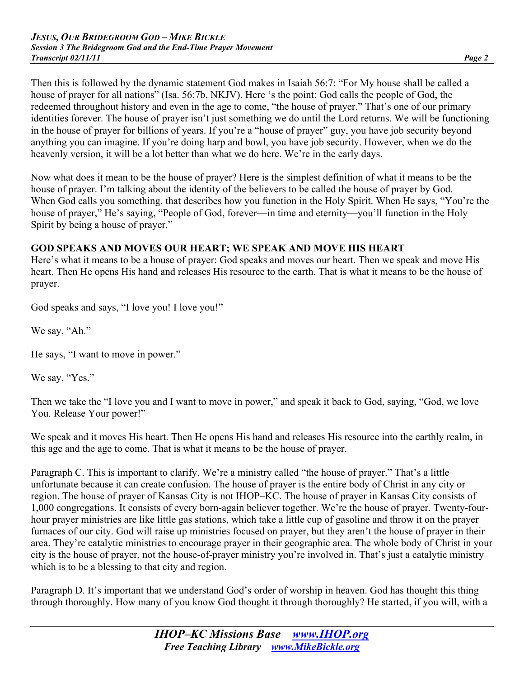Then this is followed by the dynamic statement God makes in Isaiah 56:7: "For My house shall be called a house of prayer for all nations" (Isa. 56:7b, NKJV). Here 's the point: God calls the people of God, the redeemed throughout history and even in the age to come, "the house of prayer." That's one of our primary identities forever. The house of prayer isn't just something we do until the Lord returns. We will be functioning in the house of prayer for billions of years. If you're a "house of prayer" guy, you have job security beyond anything you can imagine. If you're doing harp and bowl, you have job security. However, when we do the heavenly version, it will be a lot better than what we do here. We're in the early days.

Now what does it mean to be the house of prayer? Here is the simplest definition of what it means to be the house of prayer. I'm talking about the identity of the believers to be called the house of prayer by God. When God calls you something, that describes how you function in the Holy Spirit. When He says, "You're the house of prayer," He's saying, "People of God, forever—in time and eternity—you'll function in the Holy Spirit by being a house of prayer."

### **GOD SPEAKS AND MOVES OUR HEART; WE SPEAK AND MOVE HIS HEART**

Here's what it means to be a house of prayer: God speaks and moves our heart. Then we speak and move His heart. Then He opens His hand and releases His resource to the earth. That is what it means to be the house of prayer.

God speaks and says, "I love you! I love you!"

We say, "Ah."

He says, "I want to move in power."

We say, "Yes."

Then we take the "I love you and I want to move in power," and speak it back to God, saying, "God, we love You. Release Your power!"

We speak and it moves His heart. Then He opens His hand and releases His resource into the earthly realm, in this age and the age to come. That is what it means to be the house of prayer.

Paragraph C. This is important to clarify. We're a ministry called "the house of prayer." That's a little unfortunate because it can create confusion. The house of prayer is the entire body of Christ in any city or region. The house of prayer of Kansas City is not IHOP–KC. The house of prayer in Kansas City consists of 1,000 congregations. It consists of every born-again believer together. We're the house of prayer. Twenty-fourhour prayer ministries are like little gas stations, which take a little cup of gasoline and throw it on the prayer furnaces of our city. God will raise up ministries focused on prayer, but they aren't the house of prayer in their area. They're catalytic ministries to encourage prayer in their geographic area. The whole body of Christ in your city is the house of prayer, not the house-of-prayer ministry you're involved in. That's just a catalytic ministry which is to be a blessing to that city and region.

Paragraph D. It's important that we understand God's order of worship in heaven. God has thought this thing through thoroughly. How many of you know God thought it through thoroughly? He started, if you will, with a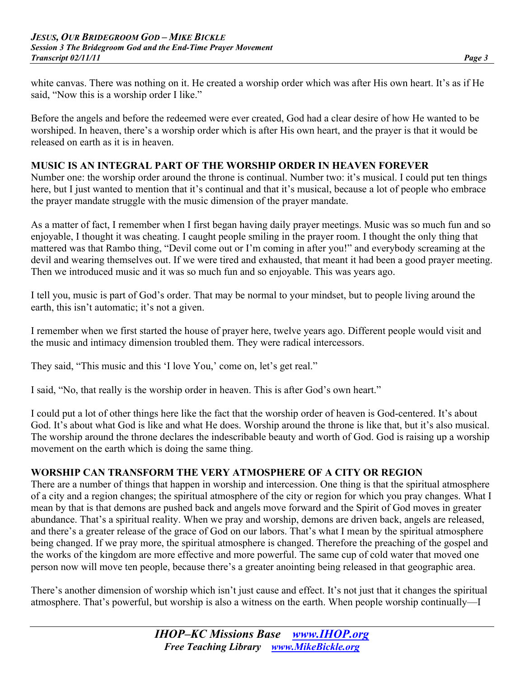white canvas. There was nothing on it. He created a worship order which was after His own heart. It's as if He said. "Now this is a worship order I like."

Before the angels and before the redeemed were ever created, God had a clear desire of how He wanted to be worshiped. In heaven, there's a worship order which is after His own heart, and the prayer is that it would be released on earth as it is in heaven.

### **MUSIC IS AN INTEGRAL PART OF THE WORSHIP ORDER IN HEAVEN FOREVER**

Number one: the worship order around the throne is continual. Number two: it's musical. I could put ten things here, but I just wanted to mention that it's continual and that it's musical, because a lot of people who embrace the prayer mandate struggle with the music dimension of the prayer mandate.

As a matter of fact, I remember when I first began having daily prayer meetings. Music was so much fun and so enjoyable, I thought it was cheating. I caught people smiling in the prayer room. I thought the only thing that mattered was that Rambo thing, "Devil come out or I'm coming in after you!" and everybody screaming at the devil and wearing themselves out. If we were tired and exhausted, that meant it had been a good prayer meeting. Then we introduced music and it was so much fun and so enjoyable. This was years ago.

I tell you, music is part of God's order. That may be normal to your mindset, but to people living around the earth, this isn't automatic; it's not a given.

I remember when we first started the house of prayer here, twelve years ago. Different people would visit and the music and intimacy dimension troubled them. They were radical intercessors.

They said, "This music and this 'I love You,' come on, let's get real."

I said, "No, that really is the worship order in heaven. This is after God's own heart."

I could put a lot of other things here like the fact that the worship order of heaven is God-centered. It's about God. It's about what God is like and what He does. Worship around the throne is like that, but it's also musical. The worship around the throne declares the indescribable beauty and worth of God. God is raising up a worship movement on the earth which is doing the same thing.

## **WORSHIP CAN TRANSFORM THE VERY ATMOSPHERE OF A CITY OR REGION**

There are a number of things that happen in worship and intercession. One thing is that the spiritual atmosphere of a city and a region changes; the spiritual atmosphere of the city or region for which you pray changes. What I mean by that is that demons are pushed back and angels move forward and the Spirit of God moves in greater abundance. That's a spiritual reality. When we pray and worship, demons are driven back, angels are released, and there's a greater release of the grace of God on our labors. That's what I mean by the spiritual atmosphere being changed. If we pray more, the spiritual atmosphere is changed. Therefore the preaching of the gospel and the works of the kingdom are more effective and more powerful. The same cup of cold water that moved one person now will move ten people, because there's a greater anointing being released in that geographic area.

There's another dimension of worship which isn't just cause and effect. It's not just that it changes the spiritual atmosphere. That's powerful, but worship is also a witness on the earth. When people worship continually—I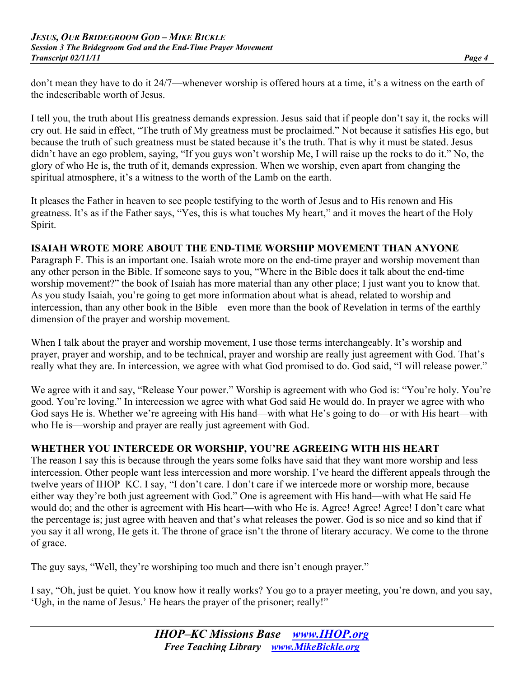don't mean they have to do it 24/7—whenever worship is offered hours at a time, it's a witness on the earth of the indescribable worth of Jesus.

I tell you, the truth about His greatness demands expression. Jesus said that if people don't say it, the rocks will cry out. He said in effect, "The truth of My greatness must be proclaimed." Not because it satisfies His ego, but because the truth of such greatness must be stated because it's the truth. That is why it must be stated. Jesus didn't have an ego problem, saying, "If you guys won't worship Me, I will raise up the rocks to do it." No, the glory of who He is, the truth of it, demands expression. When we worship, even apart from changing the spiritual atmosphere, it's a witness to the worth of the Lamb on the earth.

It pleases the Father in heaven to see people testifying to the worth of Jesus and to His renown and His greatness. It's as if the Father says, "Yes, this is what touches My heart," and it moves the heart of the Holy Spirit.

#### **ISAIAH WROTE MORE ABOUT THE END-TIME WORSHIP MOVEMENT THAN ANYONE**

Paragraph F. This is an important one. Isaiah wrote more on the end-time prayer and worship movement than any other person in the Bible. If someone says to you, "Where in the Bible does it talk about the end-time worship movement?" the book of Isaiah has more material than any other place; I just want you to know that. As you study Isaiah, you're going to get more information about what is ahead, related to worship and intercession, than any other book in the Bible—even more than the book of Revelation in terms of the earthly dimension of the prayer and worship movement.

When I talk about the prayer and worship movement, I use those terms interchangeably. It's worship and prayer, prayer and worship, and to be technical, prayer and worship are really just agreement with God. That's really what they are. In intercession, we agree with what God promised to do. God said, "I will release power."

We agree with it and say, "Release Your power." Worship is agreement with who God is: "You're holy. You're good. You're loving." In intercession we agree with what God said He would do. In prayer we agree with who God says He is. Whether we're agreeing with His hand—with what He's going to do—or with His heart—with who He is—worship and prayer are really just agreement with God.

#### **WHETHER YOU INTERCEDE OR WORSHIP, YOU'RE AGREEING WITH HIS HEART**

The reason I say this is because through the years some folks have said that they want more worship and less intercession. Other people want less intercession and more worship. I've heard the different appeals through the twelve years of IHOP–KC. I say, "I don't care. I don't care if we intercede more or worship more, because either way they're both just agreement with God." One is agreement with His hand—with what He said He would do; and the other is agreement with His heart—with who He is. Agree! Agree! Agree! I don't care what the percentage is; just agree with heaven and that's what releases the power. God is so nice and so kind that if you say it all wrong, He gets it. The throne of grace isn't the throne of literary accuracy. We come to the throne of grace.

The guy says, "Well, they're worshiping too much and there isn't enough prayer."

I say, "Oh, just be quiet. You know how it really works? You go to a prayer meeting, you're down, and you say, 'Ugh, in the name of Jesus.' He hears the prayer of the prisoner; really!"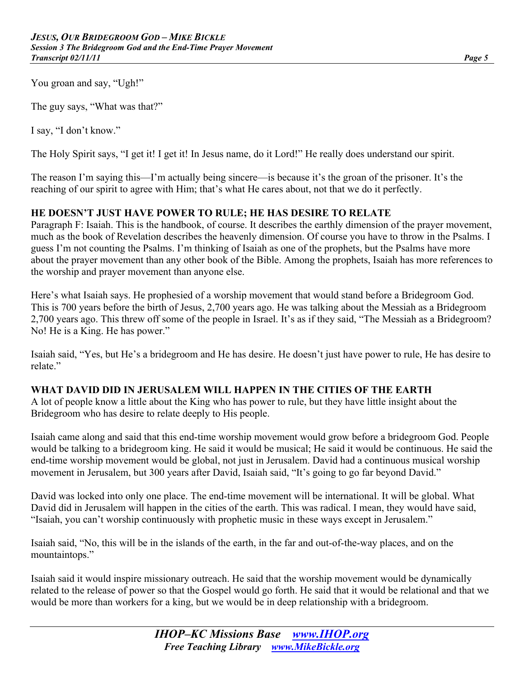You groan and say, "Ugh!"

The guy says, "What was that?"

I say, "I don't know."

The Holy Spirit says, "I get it! I get it! In Jesus name, do it Lord!" He really does understand our spirit.

The reason I'm saying this—I'm actually being sincere—is because it's the groan of the prisoner. It's the reaching of our spirit to agree with Him; that's what He cares about, not that we do it perfectly.

#### **HE DOESN'T JUST HAVE POWER TO RULE; HE HAS DESIRE TO RELATE**

Paragraph F: Isaiah. This is the handbook, of course. It describes the earthly dimension of the prayer movement, much as the book of Revelation describes the heavenly dimension. Of course you have to throw in the Psalms. I guess I'm not counting the Psalms. I'm thinking of Isaiah as one of the prophets, but the Psalms have more about the prayer movement than any other book of the Bible. Among the prophets, Isaiah has more references to the worship and prayer movement than anyone else.

Here's what Isaiah says. He prophesied of a worship movement that would stand before a Bridegroom God. This is 700 years before the birth of Jesus, 2,700 years ago. He was talking about the Messiah as a Bridegroom 2,700 years ago. This threw off some of the people in Israel. It's as if they said, "The Messiah as a Bridegroom? No! He is a King. He has power."

Isaiah said, "Yes, but He's a bridegroom and He has desire. He doesn't just have power to rule, He has desire to relate"

#### **WHAT DAVID DID IN JERUSALEM WILL HAPPEN IN THE CITIES OF THE EARTH**

A lot of people know a little about the King who has power to rule, but they have little insight about the Bridegroom who has desire to relate deeply to His people.

Isaiah came along and said that this end-time worship movement would grow before a bridegroom God. People would be talking to a bridegroom king. He said it would be musical; He said it would be continuous. He said the end-time worship movement would be global, not just in Jerusalem. David had a continuous musical worship movement in Jerusalem, but 300 years after David, Isaiah said, "It's going to go far beyond David."

David was locked into only one place. The end-time movement will be international. It will be global. What David did in Jerusalem will happen in the cities of the earth. This was radical. I mean, they would have said, "Isaiah, you can't worship continuously with prophetic music in these ways except in Jerusalem."

Isaiah said, "No, this will be in the islands of the earth, in the far and out-of-the-way places, and on the mountaintops."

Isaiah said it would inspire missionary outreach. He said that the worship movement would be dynamically related to the release of power so that the Gospel would go forth. He said that it would be relational and that we would be more than workers for a king, but we would be in deep relationship with a bridegroom.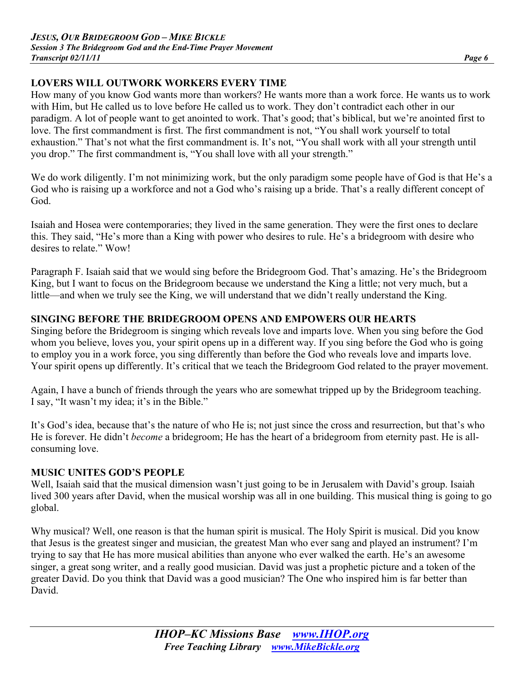## **LOVERS WILL OUTWORK WORKERS EVERY TIME**

How many of you know God wants more than workers? He wants more than a work force. He wants us to work with Him, but He called us to love before He called us to work. They don't contradict each other in our paradigm. A lot of people want to get anointed to work. That's good; that's biblical, but we're anointed first to love. The first commandment is first. The first commandment is not, "You shall work yourself to total exhaustion." That's not what the first commandment is. It's not, "You shall work with all your strength until you drop." The first commandment is, "You shall love with all your strength."

We do work diligently. I'm not minimizing work, but the only paradigm some people have of God is that He's a God who is raising up a workforce and not a God who's raising up a bride. That's a really different concept of God.

Isaiah and Hosea were contemporaries; they lived in the same generation. They were the first ones to declare this. They said, "He's more than a King with power who desires to rule. He's a bridegroom with desire who desires to relate." Wow!

Paragraph F. Isaiah said that we would sing before the Bridegroom God. That's amazing. He's the Bridegroom King, but I want to focus on the Bridegroom because we understand the King a little; not very much, but a little—and when we truly see the King, we will understand that we didn't really understand the King.

### **SINGING BEFORE THE BRIDEGROOM OPENS AND EMPOWERS OUR HEARTS**

Singing before the Bridegroom is singing which reveals love and imparts love. When you sing before the God whom you believe, loves you, your spirit opens up in a different way. If you sing before the God who is going to employ you in a work force, you sing differently than before the God who reveals love and imparts love. Your spirit opens up differently. It's critical that we teach the Bridegroom God related to the prayer movement.

Again, I have a bunch of friends through the years who are somewhat tripped up by the Bridegroom teaching. I say, "It wasn't my idea; it's in the Bible."

It's God's idea, because that's the nature of who He is; not just since the cross and resurrection, but that's who He is forever. He didn't *become* a bridegroom; He has the heart of a bridegroom from eternity past. He is allconsuming love.

### **MUSIC UNITES GOD'S PEOPLE**

Well, Isaiah said that the musical dimension wasn't just going to be in Jerusalem with David's group. Isaiah lived 300 years after David, when the musical worship was all in one building. This musical thing is going to go global.

Why musical? Well, one reason is that the human spirit is musical. The Holy Spirit is musical. Did you know that Jesus is the greatest singer and musician, the greatest Man who ever sang and played an instrument? I'm trying to say that He has more musical abilities than anyone who ever walked the earth. He's an awesome singer, a great song writer, and a really good musician. David was just a prophetic picture and a token of the greater David. Do you think that David was a good musician? The One who inspired him is far better than David.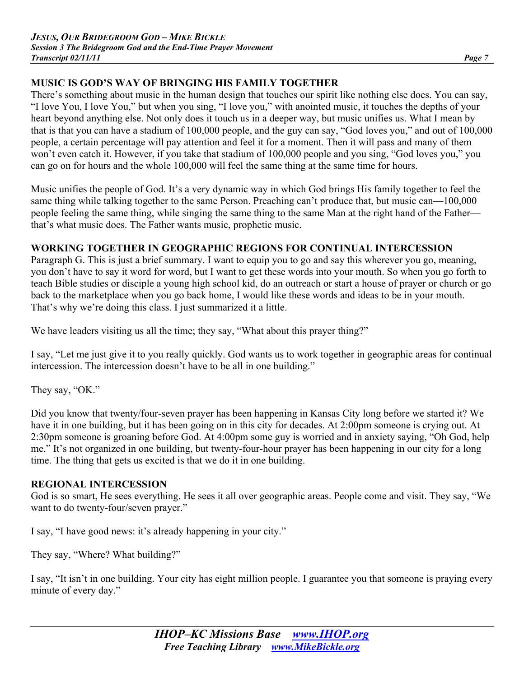## **MUSIC IS GOD'S WAY OF BRINGING HIS FAMILY TOGETHER**

There's something about music in the human design that touches our spirit like nothing else does. You can say, "I love You, I love You," but when you sing, "I love you," with anointed music, it touches the depths of your heart beyond anything else. Not only does it touch us in a deeper way, but music unifies us. What I mean by that is that you can have a stadium of 100,000 people, and the guy can say, "God loves you," and out of 100,000 people, a certain percentage will pay attention and feel it for a moment. Then it will pass and many of them won't even catch it. However, if you take that stadium of 100,000 people and you sing, "God loves you," you can go on for hours and the whole 100,000 will feel the same thing at the same time for hours.

Music unifies the people of God. It's a very dynamic way in which God brings His family together to feel the same thing while talking together to the same Person. Preaching can't produce that, but music can—100,000 people feeling the same thing, while singing the same thing to the same Man at the right hand of the Father that's what music does. The Father wants music, prophetic music.

### **WORKING TOGETHER IN GEOGRAPHIC REGIONS FOR CONTINUAL INTERCESSION**

Paragraph G. This is just a brief summary. I want to equip you to go and say this wherever you go, meaning, you don't have to say it word for word, but I want to get these words into your mouth. So when you go forth to teach Bible studies or disciple a young high school kid, do an outreach or start a house of prayer or church or go back to the marketplace when you go back home, I would like these words and ideas to be in your mouth. That's why we're doing this class. I just summarized it a little.

We have leaders visiting us all the time; they say, "What about this prayer thing?"

I say, "Let me just give it to you really quickly. God wants us to work together in geographic areas for continual intercession. The intercession doesn't have to be all in one building."

They say, "OK."

Did you know that twenty/four-seven prayer has been happening in Kansas City long before we started it? We have it in one building, but it has been going on in this city for decades. At 2:00pm someone is crying out. At 2:30pm someone is groaning before God. At 4:00pm some guy is worried and in anxiety saying, "Oh God, help me." It's not organized in one building, but twenty-four-hour prayer has been happening in our city for a long time. The thing that gets us excited is that we do it in one building.

#### **REGIONAL INTERCESSION**

God is so smart, He sees everything. He sees it all over geographic areas. People come and visit. They say, "We want to do twenty-four/seven prayer."

I say, "I have good news: it's already happening in your city."

They say, "Where? What building?"

I say, "It isn't in one building. Your city has eight million people. I guarantee you that someone is praying every minute of every day."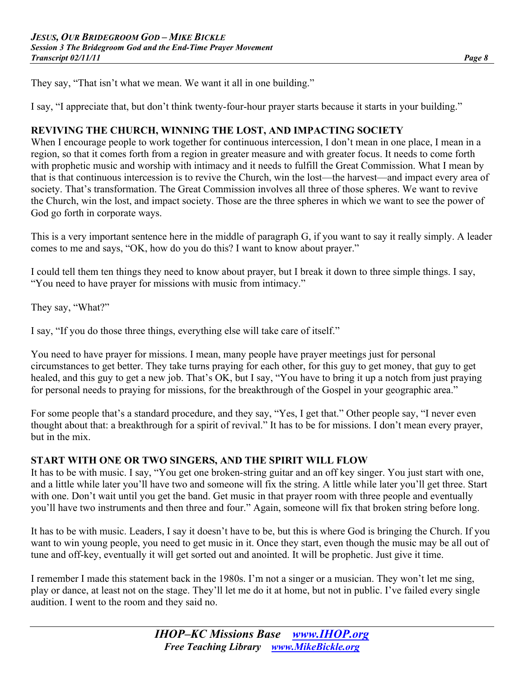They say, "That isn't what we mean. We want it all in one building."

I say, "I appreciate that, but don't think twenty-four-hour prayer starts because it starts in your building."

#### **REVIVING THE CHURCH, WINNING THE LOST, AND IMPACTING SOCIETY**

When I encourage people to work together for continuous intercession, I don't mean in one place, I mean in a region, so that it comes forth from a region in greater measure and with greater focus. It needs to come forth with prophetic music and worship with intimacy and it needs to fulfill the Great Commission. What I mean by that is that continuous intercession is to revive the Church, win the lost—the harvest—and impact every area of society. That's transformation. The Great Commission involves all three of those spheres. We want to revive the Church, win the lost, and impact society. Those are the three spheres in which we want to see the power of God go forth in corporate ways.

This is a very important sentence here in the middle of paragraph G, if you want to say it really simply. A leader comes to me and says, "OK, how do you do this? I want to know about prayer."

I could tell them ten things they need to know about prayer, but I break it down to three simple things. I say, "You need to have prayer for missions with music from intimacy."

They say, "What?"

I say, "If you do those three things, everything else will take care of itself."

You need to have prayer for missions. I mean, many people have prayer meetings just for personal circumstances to get better. They take turns praying for each other, for this guy to get money, that guy to get healed, and this guy to get a new job. That's OK, but I say, "You have to bring it up a notch from just praying for personal needs to praying for missions, for the breakthrough of the Gospel in your geographic area."

For some people that's a standard procedure, and they say, "Yes, I get that." Other people say, "I never even thought about that: a breakthrough for a spirit of revival." It has to be for missions. I don't mean every prayer, but in the mix.

#### **START WITH ONE OR TWO SINGERS, AND THE SPIRIT WILL FLOW**

It has to be with music. I say, "You get one broken-string guitar and an off key singer. You just start with one, and a little while later you'll have two and someone will fix the string. A little while later you'll get three. Start with one. Don't wait until you get the band. Get music in that prayer room with three people and eventually you'll have two instruments and then three and four." Again, someone will fix that broken string before long.

It has to be with music. Leaders, I say it doesn't have to be, but this is where God is bringing the Church. If you want to win young people, you need to get music in it. Once they start, even though the music may be all out of tune and off-key, eventually it will get sorted out and anointed. It will be prophetic. Just give it time.

I remember I made this statement back in the 1980s. I'm not a singer or a musician. They won't let me sing, play or dance, at least not on the stage. They'll let me do it at home, but not in public. I've failed every single audition. I went to the room and they said no.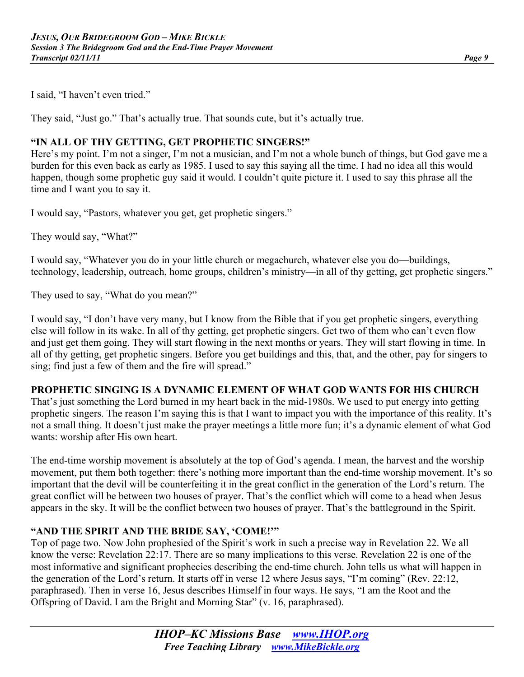I said, "I haven't even tried."

They said, "Just go." That's actually true. That sounds cute, but it's actually true.

#### **"IN ALL OF THY GETTING, GET PROPHETIC SINGERS!"**

Here's my point. I'm not a singer, I'm not a musician, and I'm not a whole bunch of things, but God gave me a burden for this even back as early as 1985. I used to say this saying all the time. I had no idea all this would happen, though some prophetic guy said it would. I couldn't quite picture it. I used to say this phrase all the time and I want you to say it.

I would say, "Pastors, whatever you get, get prophetic singers."

They would say, "What?"

I would say, "Whatever you do in your little church or megachurch, whatever else you do—buildings, technology, leadership, outreach, home groups, children's ministry—in all of thy getting, get prophetic singers."

They used to say, "What do you mean?"

I would say, "I don't have very many, but I know from the Bible that if you get prophetic singers, everything else will follow in its wake. In all of thy getting, get prophetic singers. Get two of them who can't even flow and just get them going. They will start flowing in the next months or years. They will start flowing in time. In all of thy getting, get prophetic singers. Before you get buildings and this, that, and the other, pay for singers to sing; find just a few of them and the fire will spread."

#### **PROPHETIC SINGING IS A DYNAMIC ELEMENT OF WHAT GOD WANTS FOR HIS CHURCH**

That's just something the Lord burned in my heart back in the mid-1980s. We used to put energy into getting prophetic singers. The reason I'm saying this is that I want to impact you with the importance of this reality. It's not a small thing. It doesn't just make the prayer meetings a little more fun; it's a dynamic element of what God wants: worship after His own heart.

The end-time worship movement is absolutely at the top of God's agenda. I mean, the harvest and the worship movement, put them both together: there's nothing more important than the end-time worship movement. It's so important that the devil will be counterfeiting it in the great conflict in the generation of the Lord's return. The great conflict will be between two houses of prayer. That's the conflict which will come to a head when Jesus appears in the sky. It will be the conflict between two houses of prayer. That's the battleground in the Spirit.

#### **"AND THE SPIRIT AND THE BRIDE SAY, 'COME!'"**

Top of page two. Now John prophesied of the Spirit's work in such a precise way in Revelation 22. We all know the verse: Revelation 22:17. There are so many implications to this verse. Revelation 22 is one of the most informative and significant prophecies describing the end-time church. John tells us what will happen in the generation of the Lord's return. It starts off in verse 12 where Jesus says, "I'm coming" (Rev. 22:12, paraphrased). Then in verse 16, Jesus describes Himself in four ways. He says, "I am the Root and the Offspring of David. I am the Bright and Morning Star" (v. 16, paraphrased).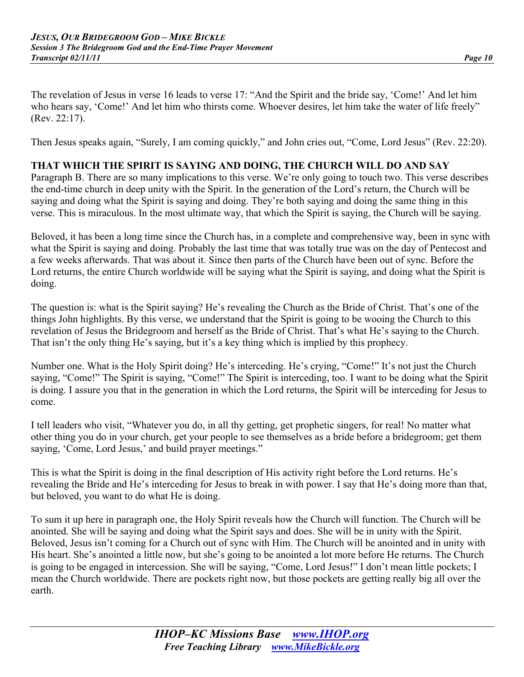The revelation of Jesus in verse 16 leads to verse 17: "And the Spirit and the bride say, 'Come!' And let him who hears say, 'Come!' And let him who thirsts come. Whoever desires, let him take the water of life freely" (Rev. 22:17).

Then Jesus speaks again, "Surely, I am coming quickly," and John cries out, "Come, Lord Jesus" (Rev. 22:20).

#### **THAT WHICH THE SPIRIT IS SAYING AND DOING, THE CHURCH WILL DO AND SAY**

Paragraph B. There are so many implications to this verse. We're only going to touch two. This verse describes the end-time church in deep unity with the Spirit. In the generation of the Lord's return, the Church will be saying and doing what the Spirit is saying and doing. They're both saying and doing the same thing in this verse. This is miraculous. In the most ultimate way, that which the Spirit is saying, the Church will be saying.

Beloved, it has been a long time since the Church has, in a complete and comprehensive way, been in sync with what the Spirit is saying and doing. Probably the last time that was totally true was on the day of Pentecost and a few weeks afterwards. That was about it. Since then parts of the Church have been out of sync. Before the Lord returns, the entire Church worldwide will be saying what the Spirit is saying, and doing what the Spirit is doing.

The question is: what is the Spirit saying? He's revealing the Church as the Bride of Christ. That's one of the things John highlights. By this verse, we understand that the Spirit is going to be wooing the Church to this revelation of Jesus the Bridegroom and herself as the Bride of Christ. That's what He's saying to the Church. That isn't the only thing He's saying, but it's a key thing which is implied by this prophecy.

Number one. What is the Holy Spirit doing? He's interceding. He's crying, "Come!" It's not just the Church saying, "Come!" The Spirit is saying, "Come!" The Spirit is interceding, too. I want to be doing what the Spirit is doing. I assure you that in the generation in which the Lord returns, the Spirit will be interceding for Jesus to come.

I tell leaders who visit, "Whatever you do, in all thy getting, get prophetic singers, for real! No matter what other thing you do in your church, get your people to see themselves as a bride before a bridegroom; get them saying, 'Come, Lord Jesus,' and build prayer meetings."

This is what the Spirit is doing in the final description of His activity right before the Lord returns. He's revealing the Bride and He's interceding for Jesus to break in with power. I say that He's doing more than that, but beloved, you want to do what He is doing.

To sum it up here in paragraph one, the Holy Spirit reveals how the Church will function. The Church will be anointed. She will be saying and doing what the Spirit says and does. She will be in unity with the Spirit. Beloved, Jesus isn't coming for a Church out of sync with Him. The Church will be anointed and in unity with His heart. She's anointed a little now, but she's going to be anointed a lot more before He returns. The Church is going to be engaged in intercession. She will be saying, "Come, Lord Jesus!" I don't mean little pockets; I mean the Church worldwide. There are pockets right now, but those pockets are getting really big all over the earth.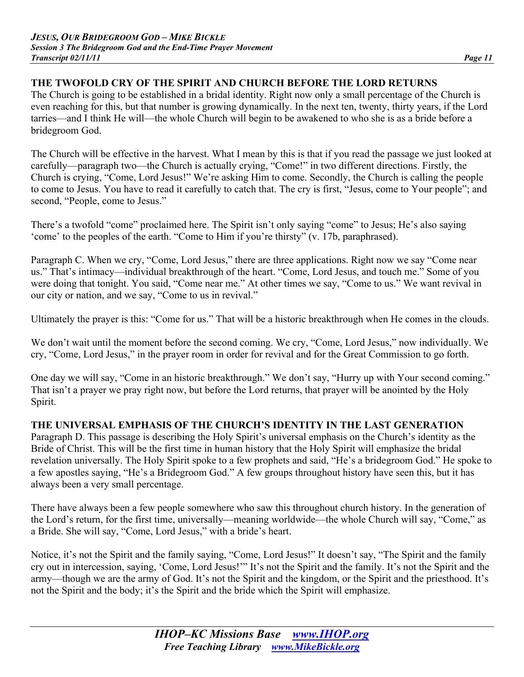## **THE TWOFOLD CRY OF THE SPIRIT AND CHURCH BEFORE THE LORD RETURNS**

The Church is going to be established in a bridal identity. Right now only a small percentage of the Church is even reaching for this, but that number is growing dynamically. In the next ten, twenty, thirty years, if the Lord tarries—and I think He will—the whole Church will begin to be awakened to who she is as a bride before a bridegroom God.

The Church will be effective in the harvest. What I mean by this is that if you read the passage we just looked at carefully—paragraph two—the Church is actually crying, "Come!" in two different directions. Firstly, the Church is crying, "Come, Lord Jesus!" We're asking Him to come. Secondly, the Church is calling the people to come to Jesus. You have to read it carefully to catch that. The cry is first, "Jesus, come to Your people"; and second, "People, come to Jesus."

There's a twofold "come" proclaimed here. The Spirit isn't only saying "come" to Jesus; He's also saying 'come' to the peoples of the earth. "Come to Him if you're thirsty" (v. 17b, paraphrased).

Paragraph C. When we cry, "Come, Lord Jesus," there are three applications. Right now we say "Come near us." That's intimacy—individual breakthrough of the heart. "Come, Lord Jesus, and touch me." Some of you were doing that tonight. You said, "Come near me." At other times we say, "Come to us." We want revival in our city or nation, and we say, "Come to us in revival."

Ultimately the prayer is this: "Come for us." That will be a historic breakthrough when He comes in the clouds.

We don't wait until the moment before the second coming. We cry, "Come, Lord Jesus," now individually. We cry, "Come, Lord Jesus," in the prayer room in order for revival and for the Great Commission to go forth.

One day we will say, "Come in an historic breakthrough." We don't say, "Hurry up with Your second coming." That isn't a prayer we pray right now, but before the Lord returns, that prayer will be anointed by the Holy Spirit.

## **THE UNIVERSAL EMPHASIS OF THE CHURCH'S IDENTITY IN THE LAST GENERATION**

Paragraph D. This passage is describing the Holy Spirit's universal emphasis on the Church's identity as the Bride of Christ. This will be the first time in human history that the Holy Spirit will emphasize the bridal revelation universally. The Holy Spirit spoke to a few prophets and said, "He's a bridegroom God." He spoke to a few apostles saying, "He's a Bridegroom God." A few groups throughout history have seen this, but it has always been a very small percentage.

There have always been a few people somewhere who saw this throughout church history. In the generation of the Lord's return, for the first time, universally—meaning worldwide—the whole Church will say, "Come," as a Bride. She will say, "Come, Lord Jesus," with a bride's heart.

Notice, it's not the Spirit and the family saying, "Come, Lord Jesus!" It doesn't say, "The Spirit and the family cry out in intercession, saying, 'Come, Lord Jesus!'" It's not the Spirit and the family. It's not the Spirit and the army—though we are the army of God. It's not the Spirit and the kingdom, or the Spirit and the priesthood. It's not the Spirit and the body; it's the Spirit and the bride which the Spirit will emphasize.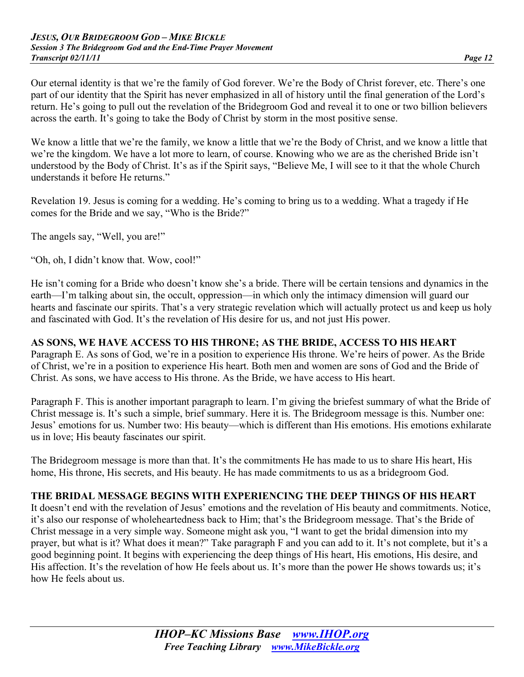Our eternal identity is that we're the family of God forever. We're the Body of Christ forever, etc. There's one part of our identity that the Spirit has never emphasized in all of history until the final generation of the Lord's return. He's going to pull out the revelation of the Bridegroom God and reveal it to one or two billion believers across the earth. It's going to take the Body of Christ by storm in the most positive sense.

We know a little that we're the family, we know a little that we're the Body of Christ, and we know a little that we're the kingdom. We have a lot more to learn, of course. Knowing who we are as the cherished Bride isn't understood by the Body of Christ. It's as if the Spirit says, "Believe Me, I will see to it that the whole Church understands it before He returns."

Revelation 19. Jesus is coming for a wedding. He's coming to bring us to a wedding. What a tragedy if He comes for the Bride and we say, "Who is the Bride?"

The angels say, "Well, you are!"

"Oh, oh, I didn't know that. Wow, cool!"

He isn't coming for a Bride who doesn't know she's a bride. There will be certain tensions and dynamics in the earth—I'm talking about sin, the occult, oppression—in which only the intimacy dimension will guard our hearts and fascinate our spirits. That's a very strategic revelation which will actually protect us and keep us holy and fascinated with God. It's the revelation of His desire for us, and not just His power.

#### **AS SONS, WE HAVE ACCESS TO HIS THRONE; AS THE BRIDE, ACCESS TO HIS HEART**

Paragraph E. As sons of God, we're in a position to experience His throne. We're heirs of power. As the Bride of Christ, we're in a position to experience His heart. Both men and women are sons of God and the Bride of Christ. As sons, we have access to His throne. As the Bride, we have access to His heart.

Paragraph F. This is another important paragraph to learn. I'm giving the briefest summary of what the Bride of Christ message is. It's such a simple, brief summary. Here it is. The Bridegroom message is this. Number one: Jesus' emotions for us. Number two: His beauty—which is different than His emotions. His emotions exhilarate us in love; His beauty fascinates our spirit.

The Bridegroom message is more than that. It's the commitments He has made to us to share His heart, His home, His throne, His secrets, and His beauty. He has made commitments to us as a bridegroom God.

#### **THE BRIDAL MESSAGE BEGINS WITH EXPERIENCING THE DEEP THINGS OF HIS HEART**

It doesn't end with the revelation of Jesus' emotions and the revelation of His beauty and commitments. Notice, it's also our response of wholeheartedness back to Him; that's the Bridegroom message. That's the Bride of Christ message in a very simple way. Someone might ask you, "I want to get the bridal dimension into my prayer, but what is it? What does it mean?" Take paragraph F and you can add to it. It's not complete, but it's a good beginning point. It begins with experiencing the deep things of His heart, His emotions, His desire, and His affection. It's the revelation of how He feels about us. It's more than the power He shows towards us; it's how He feels about us.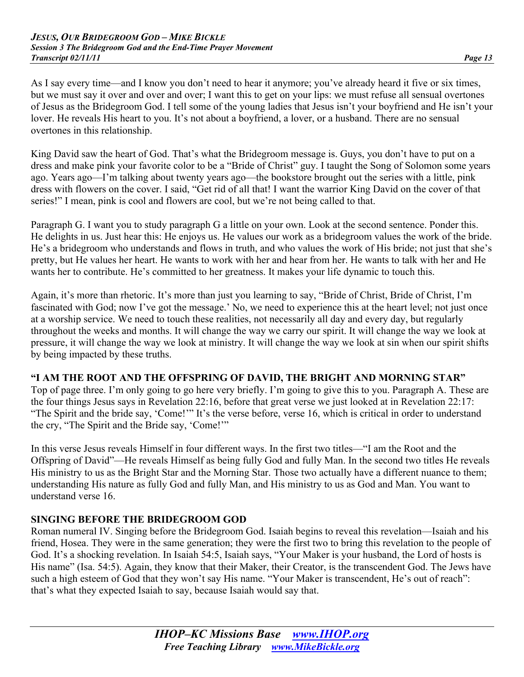As I say every time—and I know you don't need to hear it anymore; you've already heard it five or six times, but we must say it over and over and over; I want this to get on your lips: we must refuse all sensual overtones of Jesus as the Bridegroom God. I tell some of the young ladies that Jesus isn't your boyfriend and He isn't your lover. He reveals His heart to you. It's not about a boyfriend, a lover, or a husband. There are no sensual overtones in this relationship.

King David saw the heart of God. That's what the Bridegroom message is. Guys, you don't have to put on a dress and make pink your favorite color to be a "Bride of Christ" guy. I taught the Song of Solomon some years ago. Years ago—I'm talking about twenty years ago—the bookstore brought out the series with a little, pink dress with flowers on the cover. I said, "Get rid of all that! I want the warrior King David on the cover of that series!" I mean, pink is cool and flowers are cool, but we're not being called to that.

Paragraph G. I want you to study paragraph G a little on your own. Look at the second sentence. Ponder this. He delights in us. Just hear this: He enjoys us. He values our work as a bridegroom values the work of the bride. He's a bridegroom who understands and flows in truth, and who values the work of His bride; not just that she's pretty, but He values her heart. He wants to work with her and hear from her. He wants to talk with her and He wants her to contribute. He's committed to her greatness. It makes your life dynamic to touch this.

Again, it's more than rhetoric. It's more than just you learning to say, "Bride of Christ, Bride of Christ, I'm fascinated with God; now I've got the message.' No, we need to experience this at the heart level; not just once at a worship service. We need to touch these realities, not necessarily all day and every day, but regularly throughout the weeks and months. It will change the way we carry our spirit. It will change the way we look at pressure, it will change the way we look at ministry. It will change the way we look at sin when our spirit shifts by being impacted by these truths.

#### **"I AM THE ROOT AND THE OFFSPRING OF DAVID, THE BRIGHT AND MORNING STAR"**

Top of page three. I'm only going to go here very briefly. I'm going to give this to you. Paragraph A. These are the four things Jesus says in Revelation 22:16, before that great verse we just looked at in Revelation 22:17: "The Spirit and the bride say, 'Come!'" It's the verse before, verse 16, which is critical in order to understand the cry, "The Spirit and the Bride say, 'Come!'"

In this verse Jesus reveals Himself in four different ways. In the first two titles—"I am the Root and the Offspring of David"—He reveals Himself as being fully God and fully Man. In the second two titles He reveals His ministry to us as the Bright Star and the Morning Star. Those two actually have a different nuance to them; understanding His nature as fully God and fully Man, and His ministry to us as God and Man. You want to understand verse 16.

## **SINGING BEFORE THE BRIDEGROOM GOD**

Roman numeral IV. Singing before the Bridegroom God. Isaiah begins to reveal this revelation—Isaiah and his friend, Hosea. They were in the same generation; they were the first two to bring this revelation to the people of God. It's a shocking revelation. In Isaiah 54:5, Isaiah says, "Your Maker is your husband, the Lord of hosts is His name" (Isa. 54:5). Again, they know that their Maker, their Creator, is the transcendent God. The Jews have such a high esteem of God that they won't say His name. "Your Maker is transcendent, He's out of reach": that's what they expected Isaiah to say, because Isaiah would say that.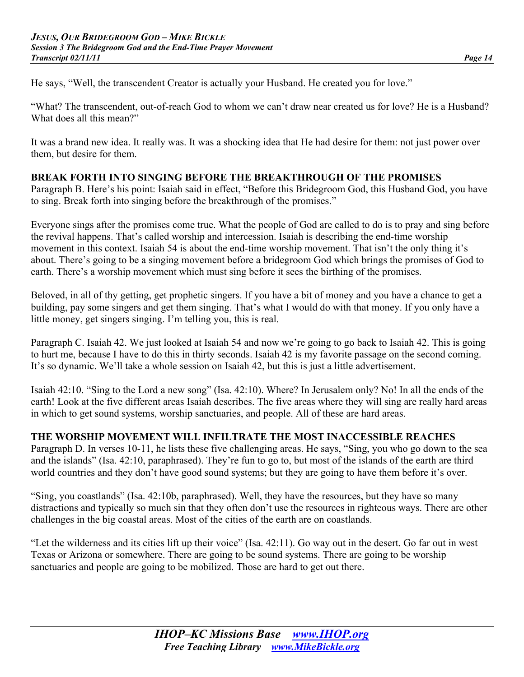He says, "Well, the transcendent Creator is actually your Husband. He created you for love."

"What? The transcendent, out-of-reach God to whom we can't draw near created us for love? He is a Husband? What does all this mean?"

It was a brand new idea. It really was. It was a shocking idea that He had desire for them: not just power over them, but desire for them.

### **BREAK FORTH INTO SINGING BEFORE THE BREAKTHROUGH OF THE PROMISES**

Paragraph B. Here's his point: Isaiah said in effect, "Before this Bridegroom God, this Husband God, you have to sing. Break forth into singing before the breakthrough of the promises."

Everyone sings after the promises come true. What the people of God are called to do is to pray and sing before the revival happens. That's called worship and intercession. Isaiah is describing the end-time worship movement in this context. Isaiah 54 is about the end-time worship movement. That isn't the only thing it's about. There's going to be a singing movement before a bridegroom God which brings the promises of God to earth. There's a worship movement which must sing before it sees the birthing of the promises.

Beloved, in all of thy getting, get prophetic singers. If you have a bit of money and you have a chance to get a building, pay some singers and get them singing. That's what I would do with that money. If you only have a little money, get singers singing. I'm telling you, this is real.

Paragraph C. Isaiah 42. We just looked at Isaiah 54 and now we're going to go back to Isaiah 42. This is going to hurt me, because I have to do this in thirty seconds. Isaiah 42 is my favorite passage on the second coming. It's so dynamic. We'll take a whole session on Isaiah 42, but this is just a little advertisement.

Isaiah 42:10. "Sing to the Lord a new song" (Isa. 42:10). Where? In Jerusalem only? No! In all the ends of the earth! Look at the five different areas Isaiah describes. The five areas where they will sing are really hard areas in which to get sound systems, worship sanctuaries, and people. All of these are hard areas.

## **THE WORSHIP MOVEMENT WILL INFILTRATE THE MOST INACCESSIBLE REACHES**

Paragraph D. In verses 10-11, he lists these five challenging areas. He says, "Sing, you who go down to the sea and the islands" (Isa. 42:10, paraphrased). They're fun to go to, but most of the islands of the earth are third world countries and they don't have good sound systems; but they are going to have them before it's over.

"Sing, you coastlands" (Isa. 42:10b, paraphrased). Well, they have the resources, but they have so many distractions and typically so much sin that they often don't use the resources in righteous ways. There are other challenges in the big coastal areas. Most of the cities of the earth are on coastlands.

"Let the wilderness and its cities lift up their voice" (Isa. 42:11). Go way out in the desert. Go far out in west Texas or Arizona or somewhere. There are going to be sound systems. There are going to be worship sanctuaries and people are going to be mobilized. Those are hard to get out there.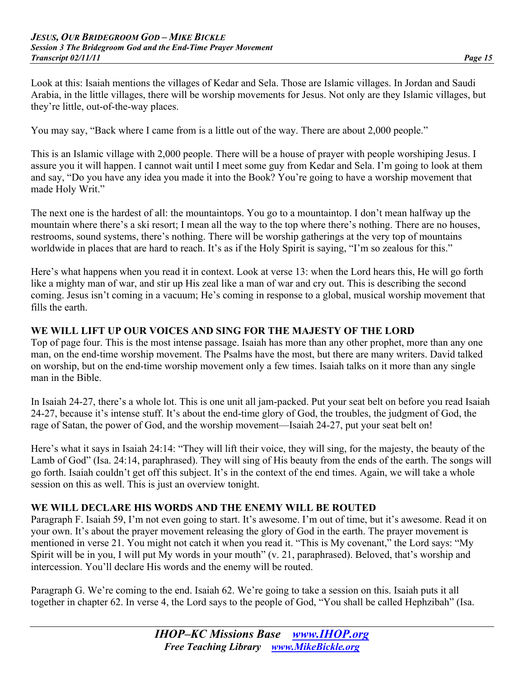Look at this: Isaiah mentions the villages of Kedar and Sela. Those are Islamic villages. In Jordan and Saudi Arabia, in the little villages, there will be worship movements for Jesus. Not only are they Islamic villages, but they're little, out-of-the-way places.

You may say, "Back where I came from is a little out of the way. There are about 2,000 people."

This is an Islamic village with 2,000 people. There will be a house of prayer with people worshiping Jesus. I assure you it will happen. I cannot wait until I meet some guy from Kedar and Sela. I'm going to look at them and say, "Do you have any idea you made it into the Book? You're going to have a worship movement that made Holy Writ."

The next one is the hardest of all: the mountaintops. You go to a mountaintop. I don't mean halfway up the mountain where there's a ski resort; I mean all the way to the top where there's nothing. There are no houses, restrooms, sound systems, there's nothing. There will be worship gatherings at the very top of mountains worldwide in places that are hard to reach. It's as if the Holy Spirit is saying, "I'm so zealous for this."

Here's what happens when you read it in context. Look at verse 13: when the Lord hears this, He will go forth like a mighty man of war, and stir up His zeal like a man of war and cry out. This is describing the second coming. Jesus isn't coming in a vacuum; He's coming in response to a global, musical worship movement that fills the earth.

#### **WE WILL LIFT UP OUR VOICES AND SING FOR THE MAJESTY OF THE LORD**

Top of page four. This is the most intense passage. Isaiah has more than any other prophet, more than any one man, on the end-time worship movement. The Psalms have the most, but there are many writers. David talked on worship, but on the end-time worship movement only a few times. Isaiah talks on it more than any single man in the Bible.

In Isaiah 24-27, there's a whole lot. This is one unit all jam-packed. Put your seat belt on before you read Isaiah 24-27, because it's intense stuff. It's about the end-time glory of God, the troubles, the judgment of God, the rage of Satan, the power of God, and the worship movement—Isaiah 24-27, put your seat belt on!

Here's what it says in Isaiah 24:14: "They will lift their voice, they will sing, for the majesty, the beauty of the Lamb of God" (Isa. 24:14, paraphrased). They will sing of His beauty from the ends of the earth. The songs will go forth. Isaiah couldn't get off this subject. It's in the context of the end times. Again, we will take a whole session on this as well. This is just an overview tonight.

## **WE WILL DECLARE HIS WORDS AND THE ENEMY WILL BE ROUTED**

Paragraph F. Isaiah 59, I'm not even going to start. It's awesome. I'm out of time, but it's awesome. Read it on your own. It's about the prayer movement releasing the glory of God in the earth. The prayer movement is mentioned in verse 21. You might not catch it when you read it. "This is My covenant," the Lord says: "My Spirit will be in you, I will put My words in your mouth" (v. 21, paraphrased). Beloved, that's worship and intercession. You'll declare His words and the enemy will be routed.

Paragraph G. We're coming to the end. Isaiah 62. We're going to take a session on this. Isaiah puts it all together in chapter 62. In verse 4, the Lord says to the people of God, "You shall be called Hephzibah" (Isa.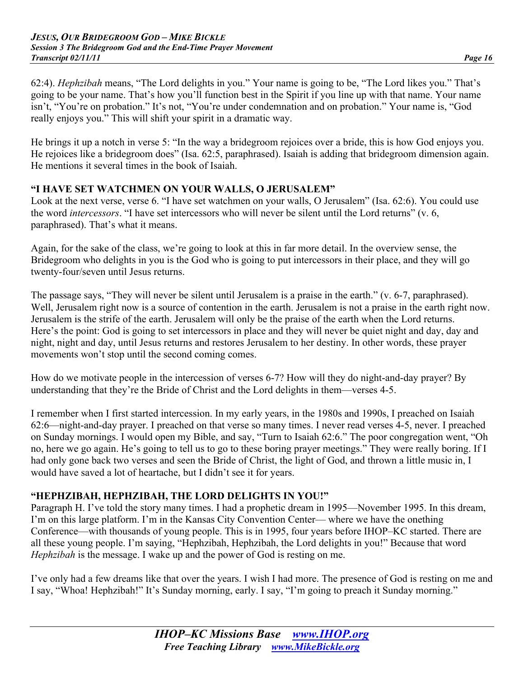62:4). *Hephzibah* means, "The Lord delights in you." Your name is going to be, "The Lord likes you." That's going to be your name. That's how you'll function best in the Spirit if you line up with that name. Your name isn't, "You're on probation." It's not, "You're under condemnation and on probation." Your name is, "God really enjoys you." This will shift your spirit in a dramatic way.

He brings it up a notch in verse 5: "In the way a bridegroom rejoices over a bride, this is how God enjoys you. He rejoices like a bridegroom does" (Isa. 62:5, paraphrased). Isaiah is adding that bridegroom dimension again. He mentions it several times in the book of Isaiah.

### **"I HAVE SET WATCHMEN ON YOUR WALLS, O JERUSALEM"**

Look at the next verse, verse 6. "I have set watchmen on your walls, O Jerusalem" (Isa. 62:6). You could use the word *intercessors*. "I have set intercessors who will never be silent until the Lord returns" (v. 6, paraphrased). That's what it means.

Again, for the sake of the class, we're going to look at this in far more detail. In the overview sense, the Bridegroom who delights in you is the God who is going to put intercessors in their place, and they will go twenty-four/seven until Jesus returns.

The passage says, "They will never be silent until Jerusalem is a praise in the earth." (v. 6-7, paraphrased). Well, Jerusalem right now is a source of contention in the earth. Jerusalem is not a praise in the earth right now. Jerusalem is the strife of the earth. Jerusalem will only be the praise of the earth when the Lord returns. Here's the point: God is going to set intercessors in place and they will never be quiet night and day, day and night, night and day, until Jesus returns and restores Jerusalem to her destiny. In other words, these prayer movements won't stop until the second coming comes.

How do we motivate people in the intercession of verses 6-7? How will they do night-and-day prayer? By understanding that they're the Bride of Christ and the Lord delights in them—verses 4-5.

I remember when I first started intercession. In my early years, in the 1980s and 1990s, I preached on Isaiah 62:6—night-and-day prayer. I preached on that verse so many times. I never read verses 4-5, never. I preached on Sunday mornings. I would open my Bible, and say, "Turn to Isaiah 62:6." The poor congregation went, "Oh no, here we go again. He's going to tell us to go to these boring prayer meetings." They were really boring. If I had only gone back two verses and seen the Bride of Christ, the light of God, and thrown a little music in, I would have saved a lot of heartache, but I didn't see it for years.

## **"HEPHZIBAH, HEPHZIBAH, THE LORD DELIGHTS IN YOU!"**

Paragraph H. I've told the story many times. I had a prophetic dream in 1995—November 1995. In this dream, I'm on this large platform. I'm in the Kansas City Convention Center— where we have the onething Conference—with thousands of young people. This is in 1995, four years before IHOP–KC started. There are all these young people. I'm saying, "Hephzibah, Hephzibah, the Lord delights in you!" Because that word *Hephzibah* is the message. I wake up and the power of God is resting on me.

I've only had a few dreams like that over the years. I wish I had more. The presence of God is resting on me and I say, "Whoa! Hephzibah!" It's Sunday morning, early. I say, "I'm going to preach it Sunday morning."